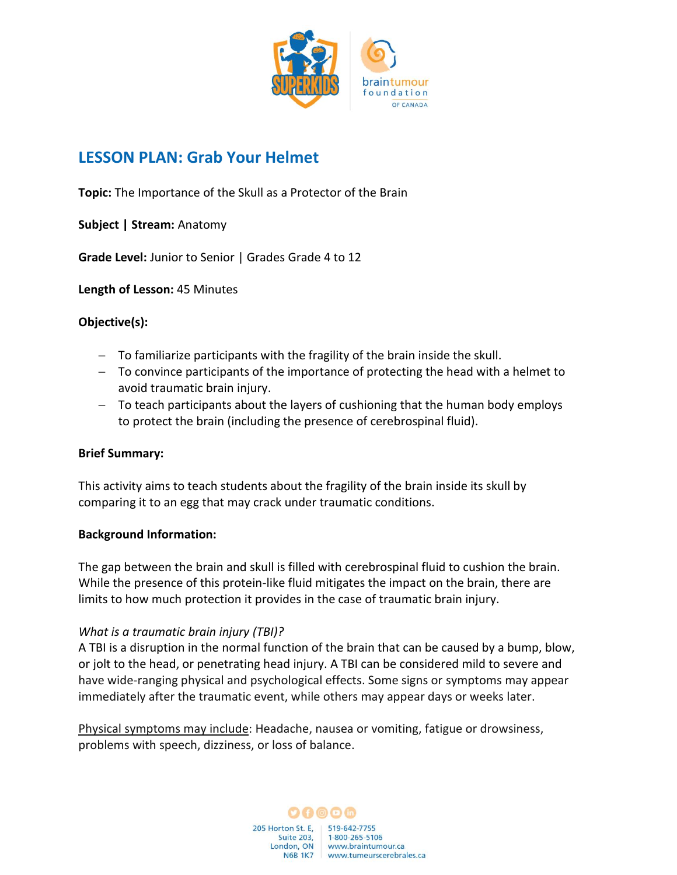

# **LESSON PLAN: Grab Your Helmet**

**Topic:** The Importance of the Skull as a Protector of the Brain

**Subject | Stream:** Anatomy

**Grade Level:** Junior to Senior | Grades Grade 4 to 12

**Length of Lesson:** 45 Minutes

## **Objective(s):**

- − To familiarize participants with the fragility of the brain inside the skull.
- − To convince participants of the importance of protecting the head with a helmet to avoid traumatic brain injury.
- − To teach participants about the layers of cushioning that the human body employs to protect the brain (including the presence of cerebrospinal fluid).

## **Brief Summary:**

This activity aims to teach students about the fragility of the brain inside its skull by comparing it to an egg that may crack under traumatic conditions.

#### **Background Information:**

The gap between the brain and skull is filled with cerebrospinal fluid to cushion the brain. While the presence of this protein-like fluid mitigates the impact on the brain, there are limits to how much protection it provides in the case of traumatic brain injury.

## *What is a traumatic brain injury (TBI)?*

A TBI is a disruption in the normal function of the brain that can be caused by a bump, blow, or jolt to the head, or penetrating head injury. A TBI can be considered mild to severe and have wide-ranging physical and psychological effects. Some signs or symptoms may appear immediately after the traumatic event, while others may appear days or weeks later.

Physical symptoms may include: Headache, nausea or vomiting, fatigue or drowsiness, problems with speech, dizziness, or loss of balance.

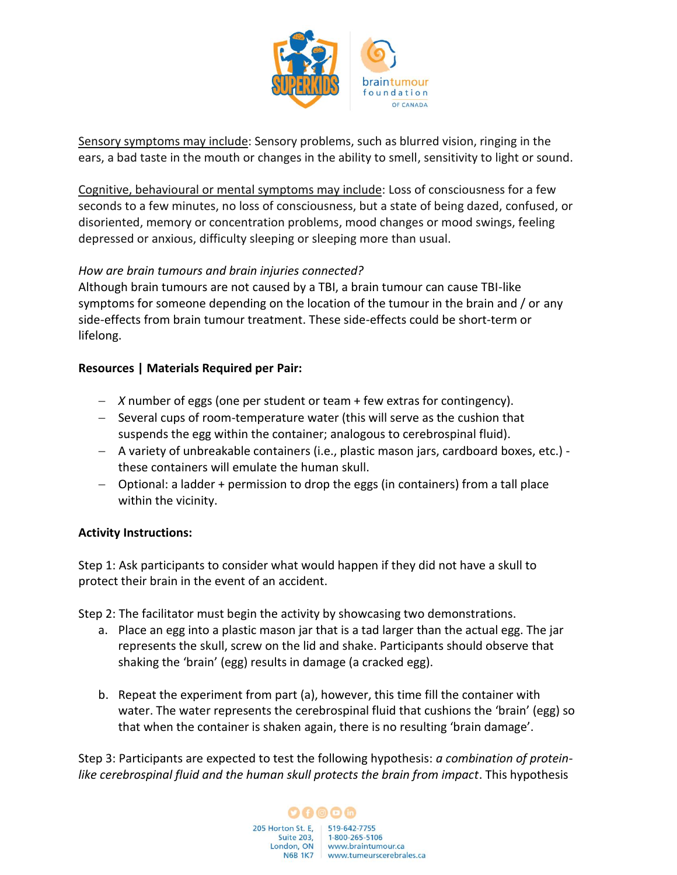

Sensory symptoms may include: Sensory problems, such as blurred vision, ringing in the ears, a bad taste in the mouth or changes in the ability to smell, sensitivity to light or sound.

Cognitive, behavioural or mental symptoms may include: Loss of consciousness for a few seconds to a few minutes, no loss of consciousness, but a state of being dazed, confused, or disoriented, memory or concentration problems, mood changes or mood swings, feeling depressed or anxious, difficulty sleeping or sleeping more than usual.

## *How are brain tumours and brain injuries connected?*

Although brain tumours are not caused by a TBI, a brain tumour can cause TBI-like symptoms for someone depending on the location of the tumour in the brain and / or any side-effects from brain tumour treatment. These side-effects could be short-term or lifelong.

#### **Resources | Materials Required per Pair:**

- − *X* number of eggs (one per student or team + few extras for contingency).
- − Several cups of room-temperature water (this will serve as the cushion that suspends the egg within the container; analogous to cerebrospinal fluid).
- − A variety of unbreakable containers (i.e., plastic mason jars, cardboard boxes, etc.) these containers will emulate the human skull.
- − Optional: a ladder + permission to drop the eggs (in containers) from a tall place within the vicinity.

#### **Activity Instructions:**

Step 1: Ask participants to consider what would happen if they did not have a skull to protect their brain in the event of an accident.

Step 2: The facilitator must begin the activity by showcasing two demonstrations.

- a. Place an egg into a plastic mason jar that is a tad larger than the actual egg. The jar represents the skull, screw on the lid and shake. Participants should observe that shaking the 'brain' (egg) results in damage (a cracked egg).
- b. Repeat the experiment from part (a), however, this time fill the container with water. The water represents the cerebrospinal fluid that cushions the 'brain' (egg) so that when the container is shaken again, there is no resulting 'brain damage'.

Step 3: Participants are expected to test the following hypothesis: *a combination of proteinlike cerebrospinal fluid and the human skull protects the brain from impact*. This hypothesis